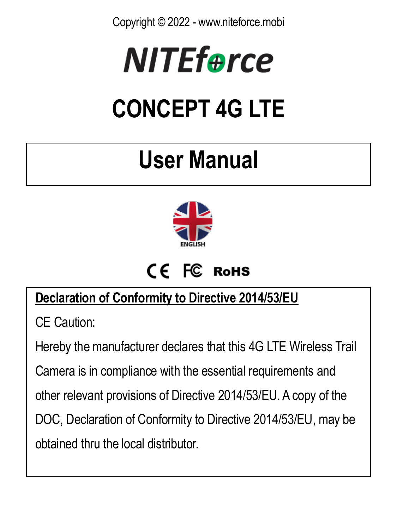Copyright © 2022 - www.niteforce.mobi



# **CONCEPT 4G LTE**

# **User Manual**



# CF FC RoHS

#### **Declaration of Conformity to Directive 2014/53/EU**

CE Caution:

Hereby the manufacturer declares that this 4G LTE Wireless Trail

Camera is in compliance with the essential requirements and

other relevant provisions of Directive 2014/53/EU. A copy of the

DOC, Declaration of Conformity to Directive 2014/53/EU, may be

obtained thru the local distributor.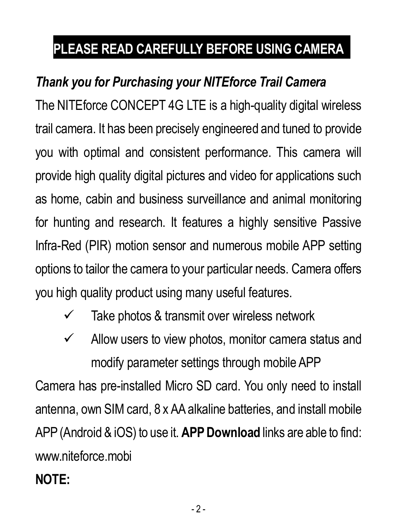# **PLEASE READ CAREFULLY BEFORE USING CAMERA**

#### *Thank you for Purchasing your NITEforce Trail Camera*

The NITEforce CONCEPT 4G LTE is a high-quality digital wireless trail camera. It has been precisely engineered and tuned to provide you with optimal and consistent performance. This camera will provide high quality digital pictures and video for applications such as home, cabin and business surveillance and animal monitoring for hunting and research. It features a highly sensitive Passive Infra-Red (PIR) motion sensor and numerous mobile APP setting options to tailor the camera to your particular needs. Camera offers you high quality product using many useful features.

- $\checkmark$  Take photos & transmit over wireless network
- $\checkmark$  Allow users to view photos, monitor camera status and modify parameter settings through mobile APP

Camera has pre-installed Micro SD card. You only need to install antenna, own SIM card, 8 x AA alkaline batteries, and install mobile APP (Android & iOS) to use it. **APP Download** links are able to find: www.niteforce.mobi

#### **NOTE:**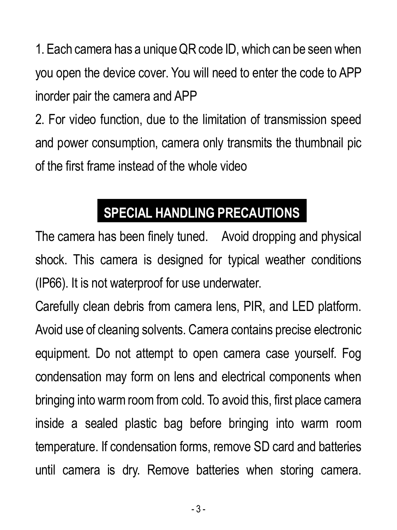1. Each camera has a unique QR code ID, which can be seen when you open the device cover. You will need to enter the code to APP inorder pair the camera and APP

2. For video function, due to the limitation of transmission speed and power consumption, camera only transmits the thumbnail pic of the first frame instead of the whole video

## **SPECIAL HANDLING PRECAUTIONS**

The camera has been finely tuned. Avoid dropping and physical shock. This camera is designed for typical weather conditions (IP66). It is not waterproof for use underwater.

Carefully clean debris from camera lens, PIR, and LED platform. Avoid use of cleaning solvents. Camera contains precise electronic equipment. Do not attempt to open camera case yourself. Fog condensation may form on lens and electrical components when bringing into warm room from cold. To avoid this, first place camera inside a sealed plastic bag before bringing into warm room temperature. If condensation forms, remove SD card and batteries until camera is dry. Remove batteries when storing camera.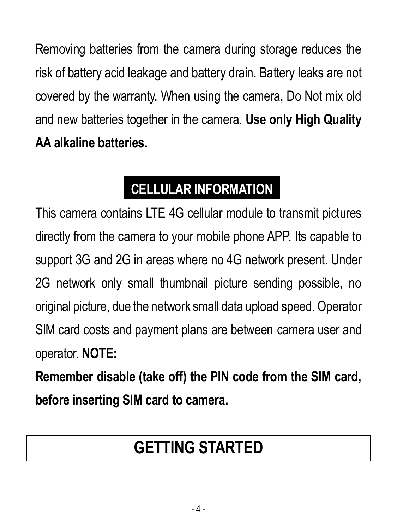Removing batteries from the camera during storage reduces the risk of battery acid leakage and battery drain. Battery leaks are not covered by the warranty. When using the camera, Do Not mix old and new batteries together in the camera. **Use only High Quality AA alkaline batteries.**

# **CELLULAR INFORMATION**

This camera contains LTE 4G cellular module to transmit pictures directly from the camera to your mobile phone APP. Its capable to support 3G and 2G in areas where no 4G network present. Under 2G network only small thumbnail picture sending possible, no original picture, due the network small data upload speed.Operator SIM card costs and payment plans are between camera user and operator. **NOTE:**

**Remember disable (take off) the PIN code from the SIM card, before inserting SIM card to camera.**

# **GETTING STARTED**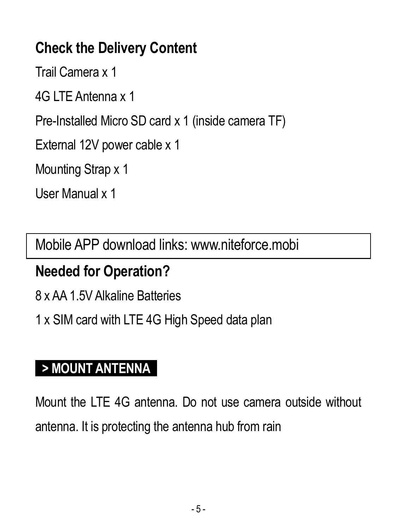#### **Check the Delivery Content**

Trail Camera x 1

4G LTE Antenna x 1

Pre-Installed Micro SD card x 1 (inside camera TF)

External 12V power cable x 1

Mounting Strap x 1

User Manual x 1

Mobile APP download links: www.niteforce.mobi

#### **Needed for Operation?**

8 x AA 1.5V Alkaline Batteries

1 x SIM card with LTE 4G High Speed data plan

#### **> MOUNT ANTENNA**

Mount the LTE 4G antenna. Do not use camera outside without antenna. It is protecting the antenna hub from rain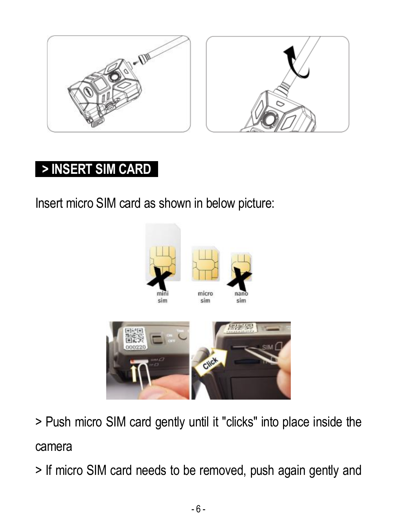

#### **> INSERT SIM CARD**

Insert micro SIM card as shown in below picture:





> Push micro SIM card gently until it "clicks" into place inside the camera

> If micro SIM card needs to be removed, push again gently and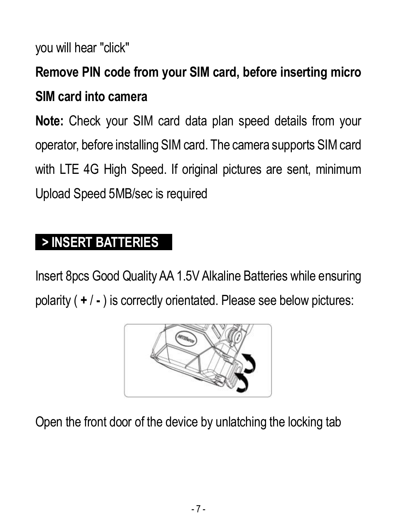you will hear "click"

# **Remove PIN code from your SIM card, before inserting micro SIM card into camera**

**Note:** Check your SIM card data plan speed details from your operator, before installing SIM card. The camera supports SIM card with LTE 4G High Speed. If original pictures are sent, minimum Upload Speed 5MB/sec is required

#### **> INSERT BATTERIES**

Insert 8pcs Good Quality AA 1.5V Alkaline Batteries while ensuring polarity ( **+** / **-** ) is correctly orientated. Please see below pictures:



Open the front door of the device by unlatching the locking tab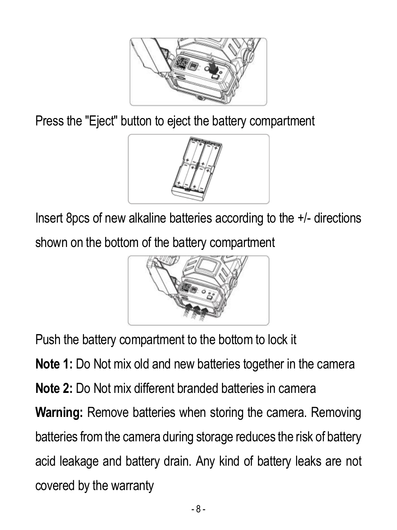

Press the "Eject" button to eject the battery compartment



Insert 8pcs of new alkaline batteries according to the +/- directions shown on the bottom of the battery compartment



Push the battery compartment to the bottom to lock it

**Note 1:** Do Not mix old and new batteries together in the camera **Note 2:** Do Not mix different branded batteries in camera **Warning:** Remove batteries when storing the camera. Removing batteries from the camera during storage reduces the risk of battery acid leakage and battery drain. Any kind of battery leaks are not covered by the warranty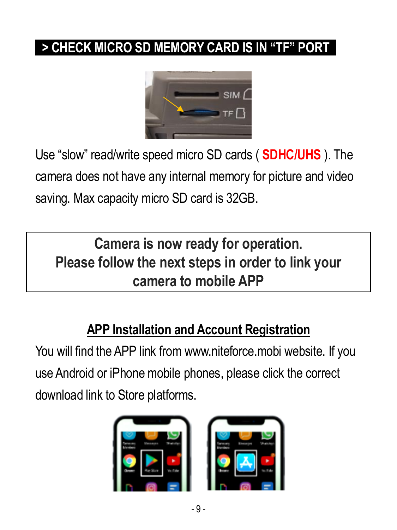#### **> CHECK MICRO SD MEMORY CARD IS IN "TF" PORT**



Use "slow" read/write speed micro SD cards ( **SDHC/UHS** ). The camera does not have any internal memory for picture and video saving. Max capacity micro SD card is 32GB.

**Camera is now ready for operation. Please follow the next steps in order to link your camera to mobile APP**

#### **APP Installation and Account Registration**

You will find the APP link from [www.niteforce.mobi](http://www.niteforce.mobi/) website. If you use Android or iPhone mobile phones, please click the correct download link to Store platforms.

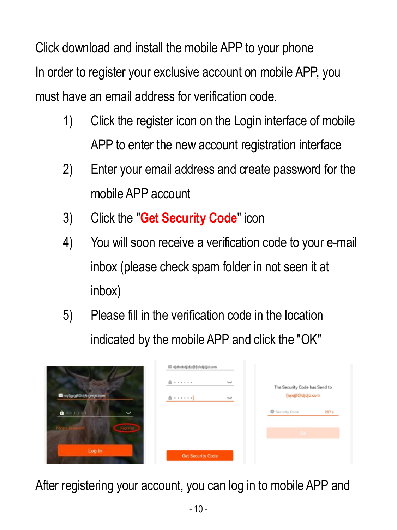Click download and install the mobile APP to your phone In order to register your exclusive account on mobile APP, you must have an email address for verification code.

- 1) Click the register icon on the Login interface of mobile APP to enter the new account registration interface
- 2) Enter your email address and create password for the mobile APP account
- 3) Click the "**Get Security Code**" icon
- 4) You will soon receive a verification code to your e-mail inbox (please check spam folder in not seen it at inbox)
- 5) Please fill in the verification code in the location indicated by the mobile APP and click the "OK"

|                    | 图 djdbebdjdjc@fdkdjdjd.com |                               |  |
|--------------------|----------------------------|-------------------------------|--|
|                    | $\alpha$<br>.<br>$\sim$    | The Security Code has Send to |  |
| Samual Detstreamen | $\sim$                     | fjejejjf@djdjd.com            |  |
| $a$<br>e.          |                            | Security Code<br>287 s        |  |
| <b>Brasil</b>      |                            | $ 0k$                         |  |
| Log in             | <b>Get Security Code</b>   |                               |  |

After registering your account, you can log in to mobile APP and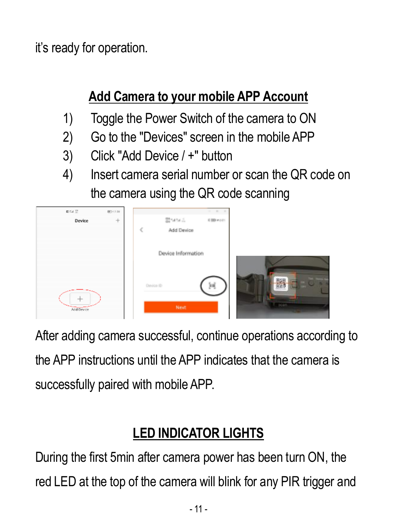it's ready for operation.

#### **Add Camera to your mobile APP Account**

- 1) Toggle the Power Switch of the camera to ON
- 2) Go to the "Devices" screen in the mobile APP
- 3) Click "Add Device / +" button
- 4) Insert camera serial number or scan the QR code on the camera using the QR code scanning

| ■名院       | 80.039 |            |                    | $-$       |   |
|-----------|--------|------------|--------------------|-----------|---|
| Device    | $+$    |            | Strate A           | 4 BB each |   |
|           |        | ₹          | Add Device         |           |   |
|           |        |            |                    |           |   |
|           |        |            | Device Information |           |   |
| AddDevice |        | Dirvice ID | Next               | ĵнj       | œ |

After adding camera successful, continue operations according to the APP instructions until the APP indicates that the camera is successfully paired with mobile APP.

#### **LED INDICATOR LIGHTS**

During the first 5min after camera power has been turn ON, the red LED at the top of the camera will blink for any PIR trigger and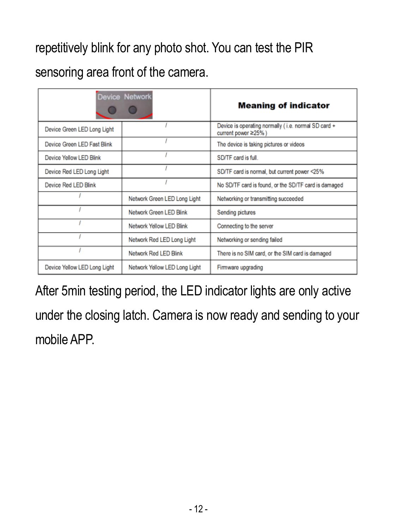repetitively blink for any photo shot. You can test the PIR

sensoring area front of the camera.

|                              | <b>Device Network</b>         | <b>Meaning of indicator</b>                                                |  |  |
|------------------------------|-------------------------------|----------------------------------------------------------------------------|--|--|
| Device Green LED Long Light  |                               | Device is operating normally (i.e. normal SD card +<br>current power ≥25%) |  |  |
| Device Green LED Fast Blink  |                               | The device is taking pictures or videos                                    |  |  |
| Device Yellow LED Blink      |                               | SD/TF card is full.                                                        |  |  |
| Device Red LED Long Light    |                               | SD/TF card is normal, but current power <25%                               |  |  |
| Device Red LED Blink         |                               | No SD/TF card is found, or the SD/TF card is damaged                       |  |  |
|                              | Network Green LED Long Light  | Networking or transmitting succeeded                                       |  |  |
|                              | Network Green LED Blink       | Sending pictures                                                           |  |  |
|                              | Network Yellow LED Blink      | Connecting to the server                                                   |  |  |
|                              | Network Red LED Long Light    | Networking or sending failed                                               |  |  |
|                              | Network Red LED Blink         | There is no SIM card, or the SIM card is damaged                           |  |  |
| Device Yellow LED Long Light | Network Yellow LED Long Light | Firmware upgrading                                                         |  |  |

After 5min testing period, the LED indicator lights are only active under the closing latch. Camera is now ready and sending to your mobile APP.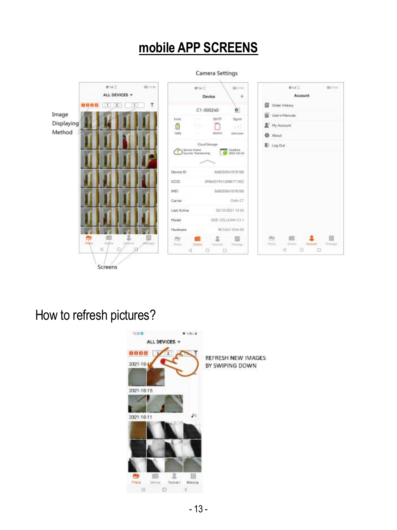#### **mobile APP SCREENS**

Camera Settings



How to refresh pictures?

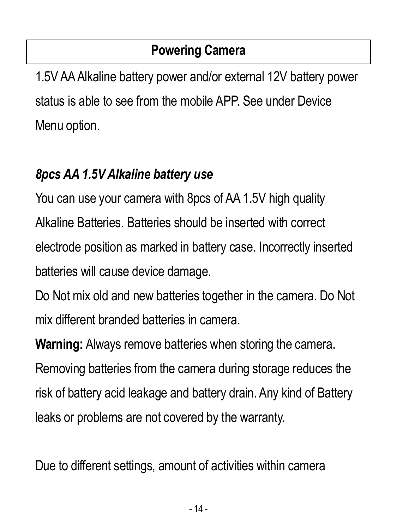#### **Powering Camera**

1.5V AA Alkaline battery power and/or external 12V battery power status is able to see from the mobile APP. See under Device Menu option.

#### *8pcs AA 1.5V Alkaline battery use*

You can use your camera with 8pcs of AA 1.5V high quality Alkaline Batteries. Batteries should be inserted with correct electrode position as marked in battery case. Incorrectly inserted batteries will cause device damage.

Do Not mix old and new batteries together in the camera. Do Not mix different branded batteries in camera.

**Warning:** Always remove batteries when storing the camera.

Removing batteries from the camera during storage reduces the risk of battery acid leakage and battery drain. Any kind of Battery leaks or problems are not covered by the warranty.

Due to different settings, amount of activities within camera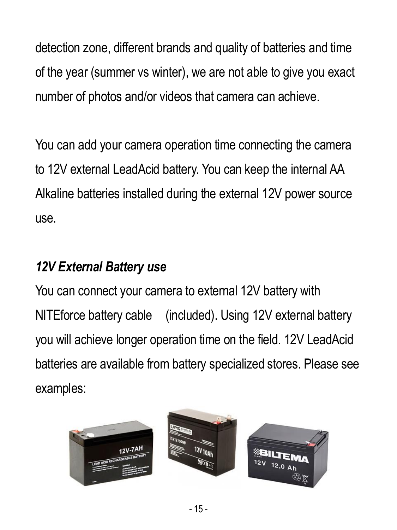detection zone, different brands and quality of batteries and time of the year (summer vs winter), we are not able to give you exact number of photos and/or videos that camera can achieve.

You can add your camera operation time connecting the camera to 12V external LeadAcid battery. You can keep the internal AA Alkaline batteries installed during the external 12V power source use.

#### *12V External Battery use*

You can connect your camera to external 12V battery with NITEforce battery cable (included). Using 12V external battery you will achieve longer operation time on the field. 12V LeadAcid batteries are available from battery specialized stores. Please see examples:

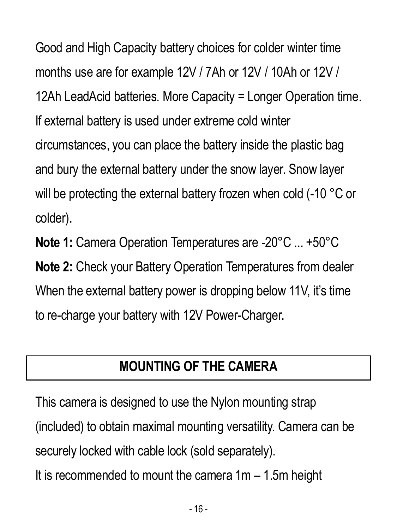Good and High Capacity battery choices for colder winter time months use are for example 12V / 7Ah or 12V / 10Ah or 12V / 12Ah LeadAcid batteries. More Capacity = Longer Operation time. If external battery is used under extreme cold winter circumstances, you can place the battery inside the plastic bag and bury the external battery under the snow layer. Snow layer will be protecting the external battery frozen when cold (-10 °C or colder).

**Note 1:** Camera Operation Temperatures are -20°C ... +50°C **Note 2:** Check your Battery Operation Temperatures from dealer When the external battery power is dropping below 11V, it's time to re-charge your battery with 12V Power-Charger.

#### **MOUNTING OF THE CAMERA**

This camera is designed to use the Nylon mounting strap (included) to obtain maximal mounting versatility. Camera can be securely locked with cable lock (sold separately).

It is recommended to mount the camera  $1m - 1.5m$  height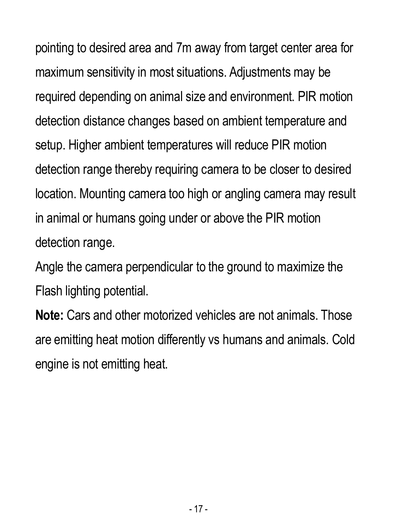pointing to desired area and 7m away from target center area for maximum sensitivity in most situations. Adjustments may be required depending on animal size and environment. PIR motion detection distance changes based on ambient temperature and setup. Higher ambient temperatures will reduce PIR motion detection range thereby requiring camera to be closer to desired location. Mounting camera too high or angling camera may result in animal or humans going under or above the PIR motion detection range.

Angle the camera perpendicular to the ground to maximize the Flash lighting potential.

**Note:** Cars and other motorized vehicles are not animals. Those are emitting heat motion differently vs humans and animals. Cold engine is not emitting heat.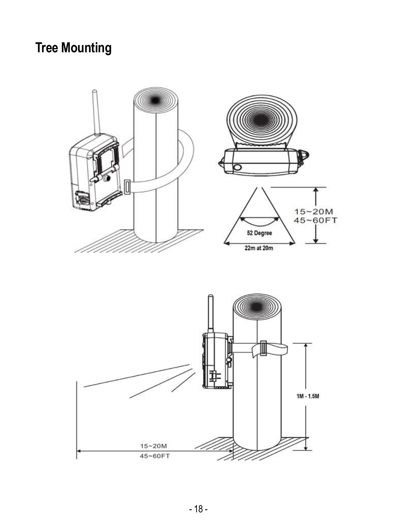#### **Tree Mounting**

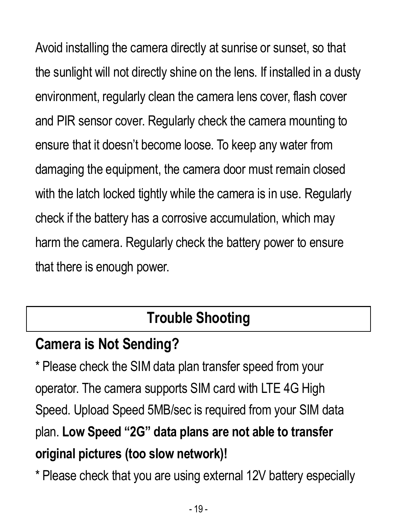Avoid installing the camera directly at sunrise or sunset, so that the sunlight will not directly shine on the lens. If installed in a dusty environment, regularly clean the camera lens cover, flash cover and PIR sensor cover. Regularly check the camera mounting to ensure that it doesn't become loose. To keep any water from damaging the equipment, the camera door must remain closed with the latch locked tightly while the camera is in use. Regularly check if the battery has a corrosive accumulation, which may harm the camera. Regularly check the battery power to ensure that there is enough power.

# **Trouble Shooting**

#### **Camera is Not Sending?**

\* Please check the SIM data plan transfer speed from your operator. The camera supports SIM card with LTE 4G High Speed. Upload Speed 5MB/sec is required from your SIM data plan. **Low Speed "2G" data plans are not able to transfer original pictures (too slow network)!**

\* Please check that you are using external 12V battery especially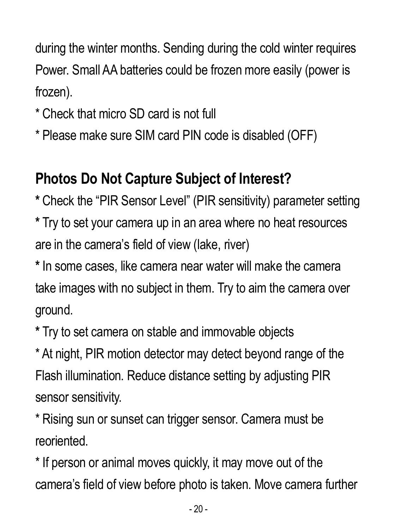during the winter months. Sending during the cold winter requires Power. Small AA batteries could be frozen more easily (power is frozen).

- \* Check that micro SD card is not full
- \* Please make sure SIM card PIN code is disabled (OFF)

## **Photos Do Not Capture Subject of Interest?**

**\*** Check the "PIR Sensor Level" (PIR sensitivity) parameter setting

**\*** Try to set your camera up in an area where no heat resources are in the camera's field of view (lake, river)

**\*** In some cases, like camera near water will make the camera take images with no subject in them. Try to aim the camera over ground.

**\*** Try to set camera on stable and immovable objects

\* At night, PIR motion detector may detect beyond range of the Flash illumination. Reduce distance setting by adjusting PIR sensor sensitivity.

\* Rising sun or sunset can trigger sensor. Camera must be reoriented.

\* If person or animal moves quickly, it may move out of the camera's field of view before photo is taken. Move camera further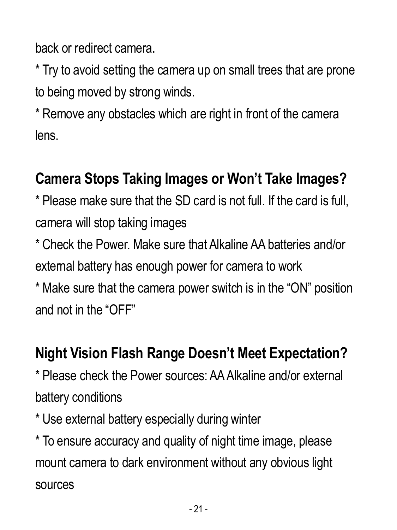back or redirect camera.

\* Try to avoid setting the camera up on small trees that are prone to being moved by strong winds.

\* Remove any obstacles which are right in front of the camera lens.

#### **Camera Stops Taking Images or Won't Take Images?**

\* Please make sure that the SD card is not full. If the card is full, camera will stop taking images

\* Check the Power. Make sure that Alkaline AA batteries and/or external battery has enough power for camera to work

\* Make sure that the camera power switch is in the "ON" position and not in the "OFF"

#### **Night Vision Flash Range Doesn't Meet Expectation?**

\* Please check the Power sources: AA Alkaline and/or external battery conditions

\* Use external battery especially during winter

\* To ensure accuracy and quality of night time image, please mount camera to dark environment without any obvious light sources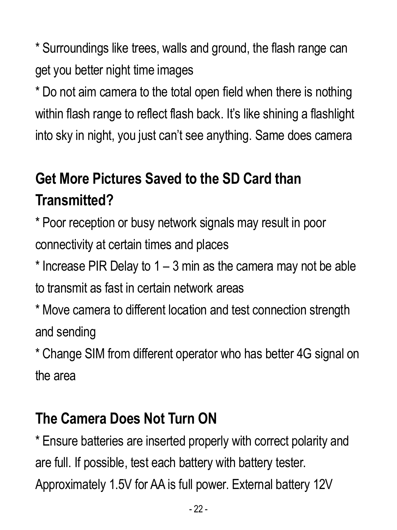\* Surroundings like trees, walls and ground, the flash range can get you better night time images

\* Do not aim camera to the total open field when there is nothing within flash range to reflect flash back. It's like shining a flashlight into sky in night, you just can't see anything. Same does camera

# **Get More Pictures Saved to the SD Card than Transmitted?**

\* Poor reception or busy network signals may result in poor connectivity at certain times and places

 $*$  Increase PIR Delay to 1 – 3 min as the camera may not be able to transmit as fast in certain network areas

\* Move camera to different location and test connection strength and sending

\* Change SIM from different operator who has better 4G signal on the area

# **The Camera Does Not Turn ON**

\* Ensure batteries are inserted properly with correct polarity and are full. If possible, test each battery with battery tester. Approximately 1.5V for AA is full power. External battery 12V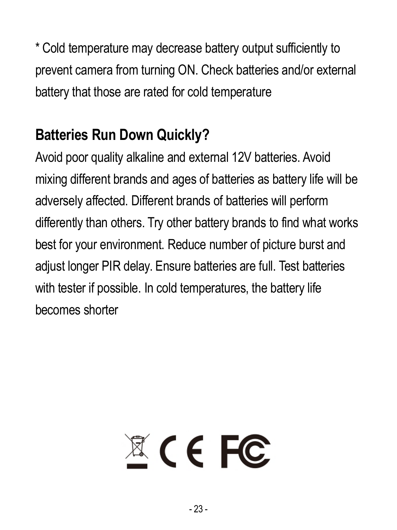\* Cold temperature may decrease battery output sufficiently to prevent camera from turning ON. Check batteries and/or external battery that those are rated for cold temperature

# **Batteries Run Down Quickly?**

Avoid poor quality alkaline and external 12V batteries. Avoid mixing different brands and ages of batteries as battery life will be adversely affected. Different brands of batteries will perform differently than others. Try other battery brands to find what works best for your environment. Reduce number of picture burst and adjust longer PIR delay. Ensure batteries are full. Test batteries with tester if possible. In cold temperatures, the battery life becomes shorter

# $X \in FC$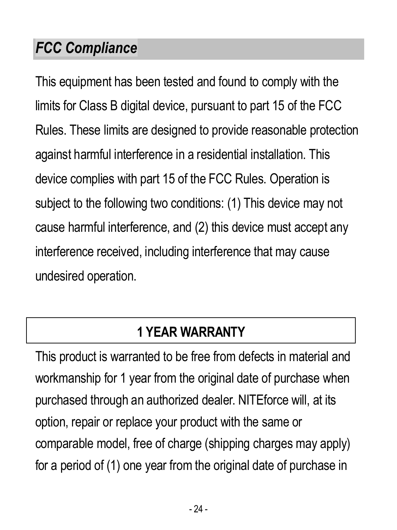#### *FCC Compliance*

This equipment has been tested and found to comply with the limits for Class B digital device, pursuant to part 15 of the FCC Rules. These limits are designed to provide reasonable protection against harmful interference in a residential installation. This device complies with part 15 of the FCC Rules. Operation is subject to the following two conditions: (1) This device may not cause harmful interference, and (2) this device must accept any interference received, including interference that may cause undesired operation.

#### **1 YEAR WARRANTY**

This product is warranted to be free from defects in material and workmanship for 1 year from the original date of purchase when purchased through an authorized dealer. NITEforce will, at its option, repair or replace your product with the same or comparable model, free of charge (shipping charges may apply) for a period of (1) one year from the original date of purchase in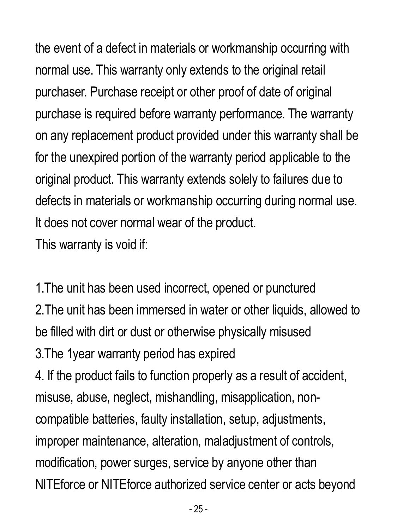the event of a defect in materials or workmanship occurring with normal use. This warranty only extends to the original retail purchaser. Purchase receipt or other proof of date of original purchase is required before warranty performance. The warranty on any replacement product provided under this warranty shall be for the unexpired portion of the warranty period applicable to the original product. This warranty extends solely to failures due to defects in materials or workmanship occurring during normal use. It does not cover normal wear of the product. This warranty is void if:

1.The unit has been used incorrect, opened or punctured 2. The unit has been immersed in water or other liquids, allowed to be filled with dirt or dust or otherwise physically misused

3.The 1year warranty period has expired

4. If the product fails to function properly as a result of accident, misuse, abuse, neglect, mishandling, misapplication, noncompatible batteries, faulty installation, setup, adjustments, improper maintenance, alteration, maladjustment of controls, modification, power surges, service by anyone other than NITEforce or NITEforce authorized service center or acts beyond